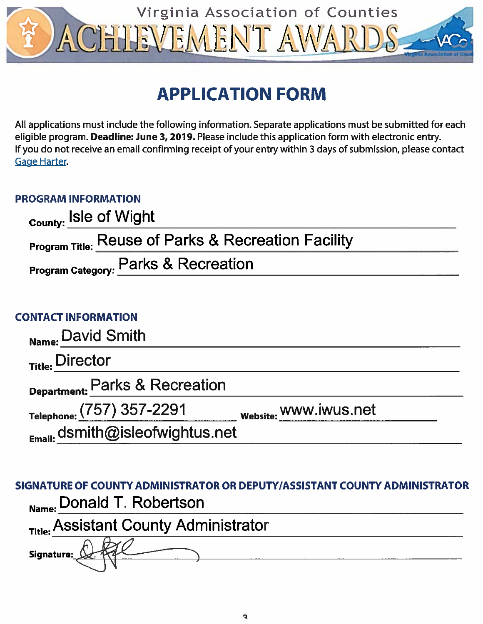

# **APPLICATION FORM**

All applications must include the following information. Separate applications must be submitted for each eligible program. Deadline: June 3, 2019. Please include this application form with electronic entry. If you do not receive an email confirming receipt of your entry within 3 days of submission, please contact **Gage Harter.** 

# **PROGRAM INFORMATION**

| <sub>County:</sub> Isle of Wight                               |  |
|----------------------------------------------------------------|--|
| <b>Program Title: Reuse of Parks &amp; Recreation Facility</b> |  |
| Program Category: Parks & Recreation                           |  |

# **CONTACT INFORMATION**

| Name: David Smith                    |                       |
|--------------------------------------|-----------------------|
| Title: Director                      |                       |
| Department: Parks & Recreation       |                       |
| Telephone: (757) 357-2291            | Website: WWW.IWUS.net |
| $_{Email:}$ dsmith@isleofwightus.net |                       |

|                                       | SIGNATURE OF COUNTY ADMINISTRATOR OR DEPUTY/ASSISTANT COUNTY ADMINISTRATOR |
|---------------------------------------|----------------------------------------------------------------------------|
| Name: Donald T. Robertson             |                                                                            |
| Title: Assistant County Administrator |                                                                            |
| Signature:                            |                                                                            |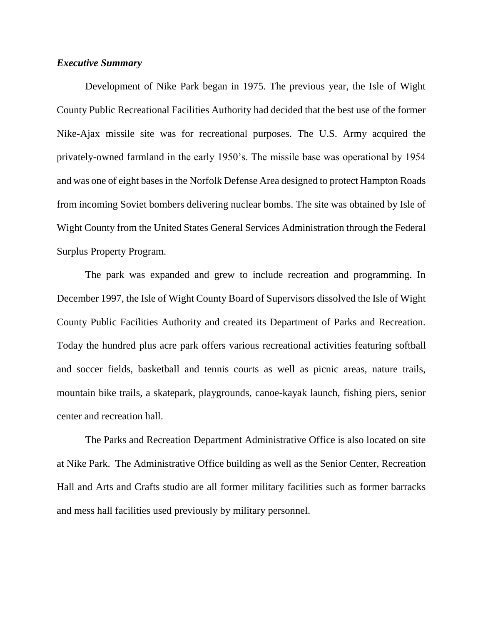## *Executive Summary*

Development of Nike Park began in 1975. The previous year, the Isle of Wight County Public Recreational Facilities Authority had decided that the best use of the former Nike-Ajax missile site was for recreational purposes. The U.S. Army acquired the privately-owned farmland in the early 1950's. The missile base was operational by 1954 and was one of eight bases in the Norfolk Defense Area designed to protect Hampton Roads from incoming Soviet bombers delivering nuclear bombs. The site was obtained by Isle of Wight County from the United States General Services Administration through the Federal Surplus Property Program.

The park was expanded and grew to include recreation and programming. In December 1997, the Isle of Wight County Board of Supervisors dissolved the Isle of Wight County Public Facilities Authority and created its Department of Parks and Recreation. Today the hundred plus acre park offers various recreational activities featuring softball and soccer fields, basketball and tennis courts as well as picnic areas, nature trails, mountain bike trails, a skatepark, playgrounds, canoe-kayak launch, fishing piers, senior center and recreation hall.

The Parks and Recreation Department Administrative Office is also located on site at Nike Park. The Administrative Office building as well as the Senior Center, Recreation Hall and Arts and Crafts studio are all former military facilities such as former barracks and mess hall facilities used previously by military personnel.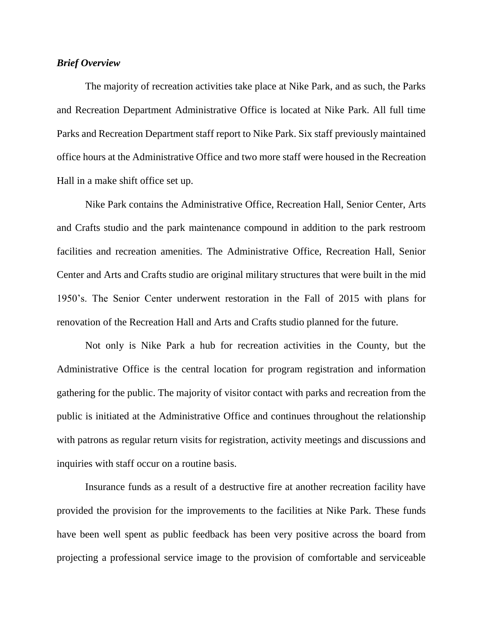# *Brief Overview*

The majority of recreation activities take place at Nike Park, and as such, the Parks and Recreation Department Administrative Office is located at Nike Park. All full time Parks and Recreation Department staff report to Nike Park. Six staff previously maintained office hours at the Administrative Office and two more staff were housed in the Recreation Hall in a make shift office set up.

Nike Park contains the Administrative Office, Recreation Hall, Senior Center, Arts and Crafts studio and the park maintenance compound in addition to the park restroom facilities and recreation amenities. The Administrative Office, Recreation Hall, Senior Center and Arts and Crafts studio are original military structures that were built in the mid 1950's. The Senior Center underwent restoration in the Fall of 2015 with plans for renovation of the Recreation Hall and Arts and Crafts studio planned for the future.

Not only is Nike Park a hub for recreation activities in the County, but the Administrative Office is the central location for program registration and information gathering for the public. The majority of visitor contact with parks and recreation from the public is initiated at the Administrative Office and continues throughout the relationship with patrons as regular return visits for registration, activity meetings and discussions and inquiries with staff occur on a routine basis.

Insurance funds as a result of a destructive fire at another recreation facility have provided the provision for the improvements to the facilities at Nike Park. These funds have been well spent as public feedback has been very positive across the board from projecting a professional service image to the provision of comfortable and serviceable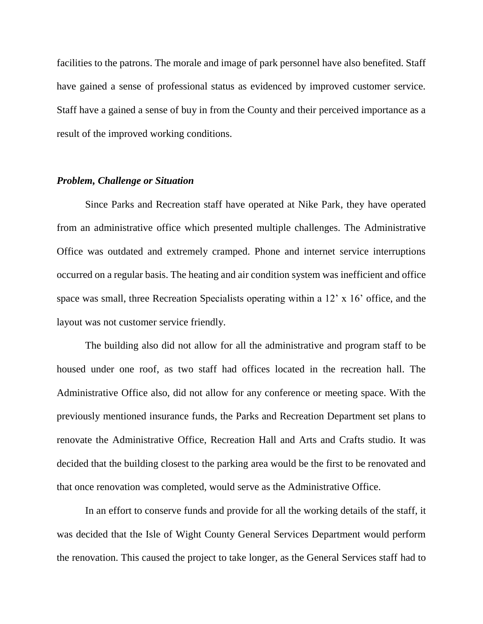facilities to the patrons. The morale and image of park personnel have also benefited. Staff have gained a sense of professional status as evidenced by improved customer service. Staff have a gained a sense of buy in from the County and their perceived importance as a result of the improved working conditions.

#### *Problem, Challenge or Situation*

Since Parks and Recreation staff have operated at Nike Park, they have operated from an administrative office which presented multiple challenges. The Administrative Office was outdated and extremely cramped. Phone and internet service interruptions occurred on a regular basis. The heating and air condition system was inefficient and office space was small, three Recreation Specialists operating within a 12' x 16' office, and the layout was not customer service friendly.

The building also did not allow for all the administrative and program staff to be housed under one roof, as two staff had offices located in the recreation hall. The Administrative Office also, did not allow for any conference or meeting space. With the previously mentioned insurance funds, the Parks and Recreation Department set plans to renovate the Administrative Office, Recreation Hall and Arts and Crafts studio. It was decided that the building closest to the parking area would be the first to be renovated and that once renovation was completed, would serve as the Administrative Office.

In an effort to conserve funds and provide for all the working details of the staff, it was decided that the Isle of Wight County General Services Department would perform the renovation. This caused the project to take longer, as the General Services staff had to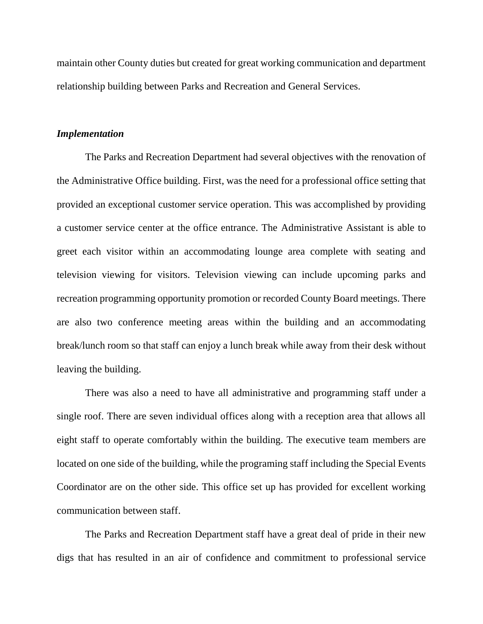maintain other County duties but created for great working communication and department relationship building between Parks and Recreation and General Services.

#### *Implementation*

The Parks and Recreation Department had several objectives with the renovation of the Administrative Office building. First, was the need for a professional office setting that provided an exceptional customer service operation. This was accomplished by providing a customer service center at the office entrance. The Administrative Assistant is able to greet each visitor within an accommodating lounge area complete with seating and television viewing for visitors. Television viewing can include upcoming parks and recreation programming opportunity promotion or recorded County Board meetings. There are also two conference meeting areas within the building and an accommodating break/lunch room so that staff can enjoy a lunch break while away from their desk without leaving the building.

There was also a need to have all administrative and programming staff under a single roof. There are seven individual offices along with a reception area that allows all eight staff to operate comfortably within the building. The executive team members are located on one side of the building, while the programing staff including the Special Events Coordinator are on the other side. This office set up has provided for excellent working communication between staff.

The Parks and Recreation Department staff have a great deal of pride in their new digs that has resulted in an air of confidence and commitment to professional service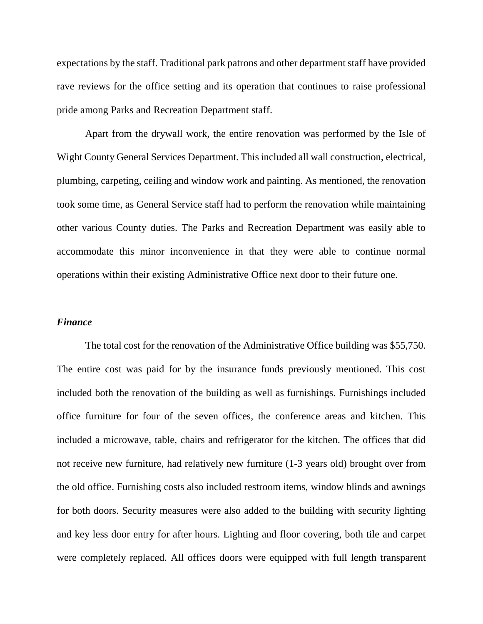expectations by the staff. Traditional park patrons and other department staff have provided rave reviews for the office setting and its operation that continues to raise professional pride among Parks and Recreation Department staff.

Apart from the drywall work, the entire renovation was performed by the Isle of Wight County General Services Department. This included all wall construction, electrical, plumbing, carpeting, ceiling and window work and painting. As mentioned, the renovation took some time, as General Service staff had to perform the renovation while maintaining other various County duties. The Parks and Recreation Department was easily able to accommodate this minor inconvenience in that they were able to continue normal operations within their existing Administrative Office next door to their future one.

## *Finance*

The total cost for the renovation of the Administrative Office building was \$55,750. The entire cost was paid for by the insurance funds previously mentioned. This cost included both the renovation of the building as well as furnishings. Furnishings included office furniture for four of the seven offices, the conference areas and kitchen. This included a microwave, table, chairs and refrigerator for the kitchen. The offices that did not receive new furniture, had relatively new furniture (1-3 years old) brought over from the old office. Furnishing costs also included restroom items, window blinds and awnings for both doors. Security measures were also added to the building with security lighting and key less door entry for after hours. Lighting and floor covering, both tile and carpet were completely replaced. All offices doors were equipped with full length transparent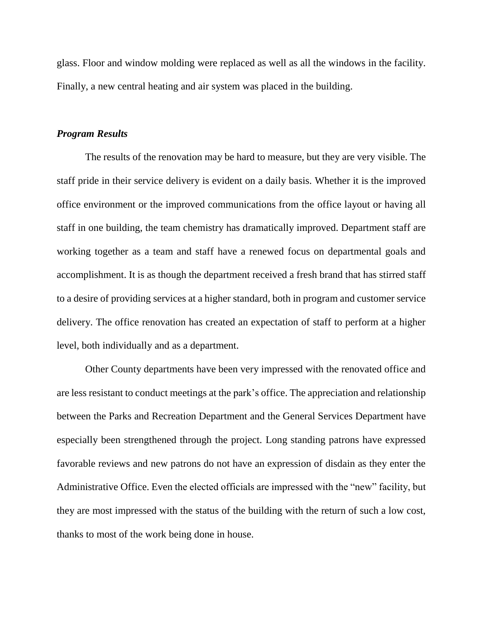glass. Floor and window molding were replaced as well as all the windows in the facility. Finally, a new central heating and air system was placed in the building.

### *Program Results*

The results of the renovation may be hard to measure, but they are very visible. The staff pride in their service delivery is evident on a daily basis. Whether it is the improved office environment or the improved communications from the office layout or having all staff in one building, the team chemistry has dramatically improved. Department staff are working together as a team and staff have a renewed focus on departmental goals and accomplishment. It is as though the department received a fresh brand that has stirred staff to a desire of providing services at a higher standard, both in program and customer service delivery. The office renovation has created an expectation of staff to perform at a higher level, both individually and as a department.

Other County departments have been very impressed with the renovated office and are less resistant to conduct meetings at the park's office. The appreciation and relationship between the Parks and Recreation Department and the General Services Department have especially been strengthened through the project. Long standing patrons have expressed favorable reviews and new patrons do not have an expression of disdain as they enter the Administrative Office. Even the elected officials are impressed with the "new" facility, but they are most impressed with the status of the building with the return of such a low cost, thanks to most of the work being done in house.